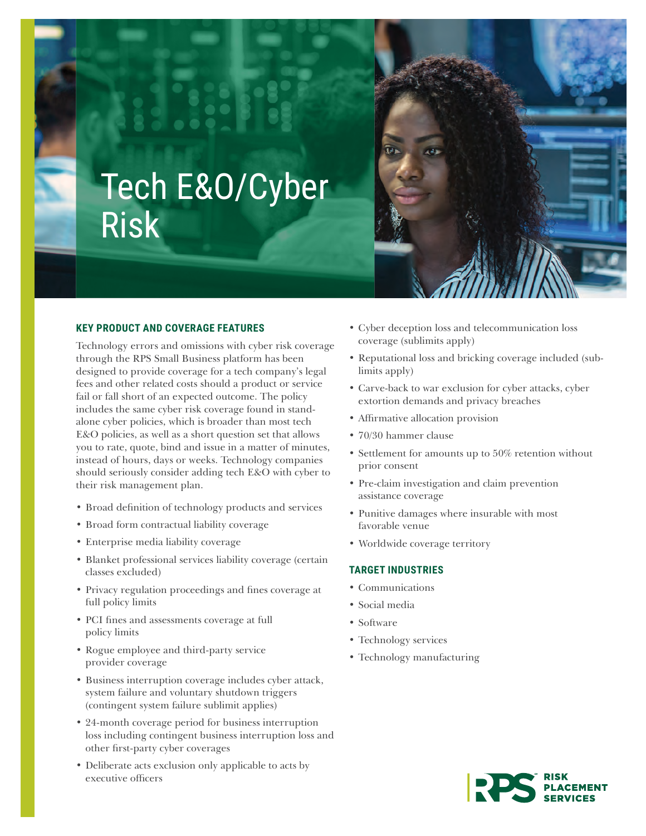

# Tech E&O/Cyber Risk

# **KEY PRODUCT AND COVERAGE FEATURES**

Technology errors and omissions with cyber risk coverage through the RPS Small Business platform has been designed to provide coverage for a tech company's legal fees and other related costs should a product or service fail or fall short of an expected outcome. The policy includes the same cyber risk coverage found in standalone cyber policies, which is broader than most tech E&O policies, as well as a short question set that allows you to rate, quote, bind and issue in a matter of minutes, instead of hours, days or weeks. Technology companies should seriously consider adding tech E&O with cyber to their risk management plan.

- Broad definition of technology products and services
- Broad form contractual liability coverage
- Enterprise media liability coverage
- Blanket professional services liability coverage (certain classes excluded)
- Privacy regulation proceedings and fines coverage at full policy limits
- PCI fines and assessments coverage at full policy limits
- Rogue employee and third-party service provider coverage
- Business interruption coverage includes cyber attack, system failure and voluntary shutdown triggers (contingent system failure sublimit applies)
- 24-month coverage period for business interruption loss including contingent business interruption loss and other first-party cyber coverages
- Deliberate acts exclusion only applicable to acts by executive officers
- Cyber deception loss and telecommunication loss coverage (sublimits apply)
- Reputational loss and bricking coverage included (sublimits apply)
- Carve-back to war exclusion for cyber attacks, cyber extortion demands and privacy breaches
- Affirmative allocation provision
- 70/30 hammer clause
- Settlement for amounts up to 50% retention without prior consent
- Pre-claim investigation and claim prevention assistance coverage
- Punitive damages where insurable with most favorable venue
- Worldwide coverage territory

#### **TARGET INDUSTRIES**

- Communications
- Social media
- Software
- Technology services
- Technology manufacturing